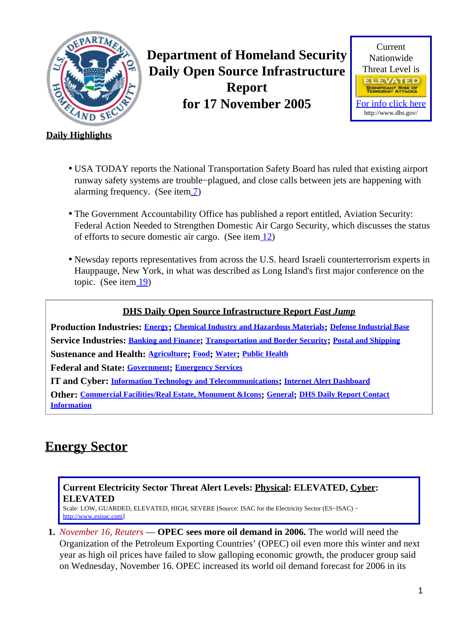<span id="page-0-1"></span>

**Department of Homeland Security Daily Open Source Infrastructure Report for 17 November 2005**



#### **Daily Highlights**

- USA TODAY reports the National Transportation Safety Board has ruled that existing airport runway safety systems are trouble−plagued, and close calls between jets are happening with alarming frequency. (See ite[m 7](#page-3-0))
- The Government Accountability Office has published a report entitled, Aviation Security: Federal Action Needed to Strengthen Domestic Air Cargo Security, which discusses the status of efforts to secure domestic air cargo. (See item  $\frac{12}{2}$ )
- Newsday reports representatives from across the U.S. heard Israeli counterterrorism experts in Hauppauge, New York, in what was described as Long Island's first major conference on the topic. (See item  $\boxed{19}$ )

#### **DHS Daily Open Source Infrastructure Report** *Fast Jump*

**Production Industries: [Energy](#page-0-0); [Chemical Industry and Hazardous Materials](#page-1-0); [Defense Industrial Base](#page-2-0) Service Industries: [Banking and Finance](#page-2-1); [Transportation and Border Security](#page-3-1); [Postal and Shipping](#page-5-0) Sustenance and Health: [Agriculture](#page-5-1); [Food](#page-5-2); [Water](#page-6-0); [Public Health](#page-6-1)**

**Federal and State: [Government](#page-7-1); [Emergency Services](#page-7-2)**

**IT and Cyber: [Information Technology and Telecommunications](#page-8-0); [Internet Alert Dashboard](#page-10-0)**

**Other: [Commercial Facilities/Real Estate, Monument &Icons](#page-10-1); [General](#page-11-0); [DHS Daily Report Contact](#page-11-1) [Information](#page-11-1)**

## <span id="page-0-0"></span>**Energy Sector**

#### **Current Electricity Sector Threat Alert Levels: Physical: ELEVATED, Cyber: ELEVATED**

Scale: LOW, GUARDED, ELEVATED, HIGH, SEVERE [Source: ISAC for the Electricity Sector (ES−ISAC) − [http://www.esisac.com](http://esisac.com)]

**1.** *November 16, Reuters* — **OPEC sees more oil demand in 2006.** The world will need the Organization of the Petroleum Exporting Countries' (OPEC) oil even more this winter and next year as high oil prices have failed to slow galloping economic growth, the producer group said on Wednesday, November 16. OPEC increased its world oil demand forecast for 2006 in its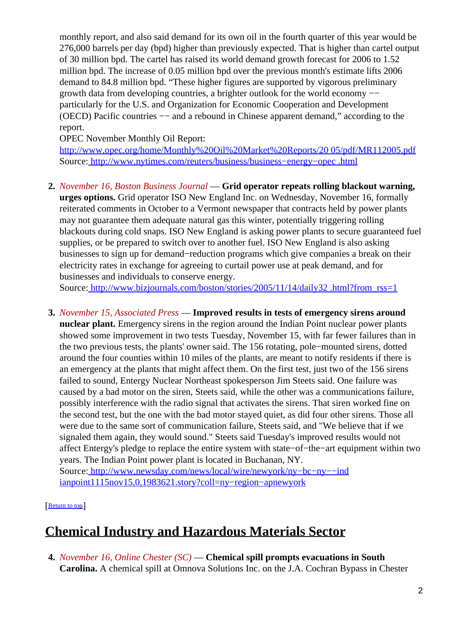monthly report, and also said demand for its own oil in the fourth quarter of this year would be 276,000 barrels per day (bpd) higher than previously expected. That is higher than cartel output of 30 million bpd. The cartel has raised its world demand growth forecast for 2006 to 1.52 million bpd. The increase of 0.05 million bpd over the previous month's estimate lifts 2006 demand to 84.8 million bpd. "These higher figures are supported by vigorous preliminary growth data from developing countries, a brighter outlook for the world economy −− particularly for the U.S. and Organization for Economic Cooperation and Development (OECD) Pacific countries −− and a rebound in Chinese apparent demand," according to the report.

OPEC November Monthly Oil Report:

[http://www.opec.org/home/Monthly%20Oil%20Market%20Reports/20 05/pdf/MR112005.pdf](http://www.opec.org/home/Monthly%20Oil%20Market%20Reports/2005/pdf/MR112005.pdf) Source[: http://www.nytimes.com/reuters/business/business−energy−opec .html](http://www.nytimes.com/reuters/business/business-energy-opec.html)

**2.** *November 16, Boston Business Journal* — **Grid operator repeats rolling blackout warning, urges options.** Grid operator ISO New England Inc. on Wednesday, November 16, formally reiterated comments in October to a Vermont newspaper that contracts held by power plants may not guarantee them adequate natural gas this winter, potentially triggering rolling blackouts during cold snaps. ISO New England is asking power plants to secure guaranteed fuel supplies, or be prepared to switch over to another fuel. ISO New England is also asking businesses to sign up for demand−reduction programs which give companies a break on their electricity rates in exchange for agreeing to curtail power use at peak demand, and for businesses and individuals to conserve energy.

Source[: http://www.bizjournals.com/boston/stories/2005/11/14/daily32 .html?from\\_rss=1](http://www.bizjournals.com/boston/stories/2005/11/14/daily32.html?from_rss=1)

**3.** *November 15, Associated Press* — **Improved results in tests of emergency sirens around nuclear plant.** Emergency sirens in the region around the Indian Point nuclear power plants showed some improvement in two tests Tuesday, November 15, with far fewer failures than in the two previous tests, the plants' owner said. The 156 rotating, pole−mounted sirens, dotted around the four counties within 10 miles of the plants, are meant to notify residents if there is an emergency at the plants that might affect them. On the first test, just two of the 156 sirens failed to sound, Entergy Nuclear Northeast spokesperson Jim Steets said. One failure was caused by a bad motor on the siren, Steets said, while the other was a communications failure, possibly interference with the radio signal that activates the sirens. That siren worked fine on the second test, but the one with the bad motor stayed quiet, as did four other sirens. Those all were due to the same sort of communication failure, Steets said, and "We believe that if we signaled them again, they would sound." Steets said Tuesday's improved results would not affect Entergy's pledge to replace the entire system with state−of−the−art equipment within two years. The Indian Point power plant is located in Buchanan, NY. Source[: http://www.newsday.com/news/local/wire/newyork/ny−bc−ny−−ind](http://www.newsday.com/news/local/wire/newyork/ny-bc-ny--indianpoint1115nov15,0,1983621.story?coll=ny-region-apnewyork) [ianpoint1115nov15,0,1983621.story?coll=ny−region−apnewyork](http://www.newsday.com/news/local/wire/newyork/ny-bc-ny--indianpoint1115nov15,0,1983621.story?coll=ny-region-apnewyork)

[[Return to top](#page-0-1)]

## <span id="page-1-0"></span>**Chemical Industry and Hazardous Materials Sector**

**4.** *November 16, Online Chester (SC)* — **Chemical spill prompts evacuations in South Carolina.** A chemical spill at Omnova Solutions Inc. on the J.A. Cochran Bypass in Chester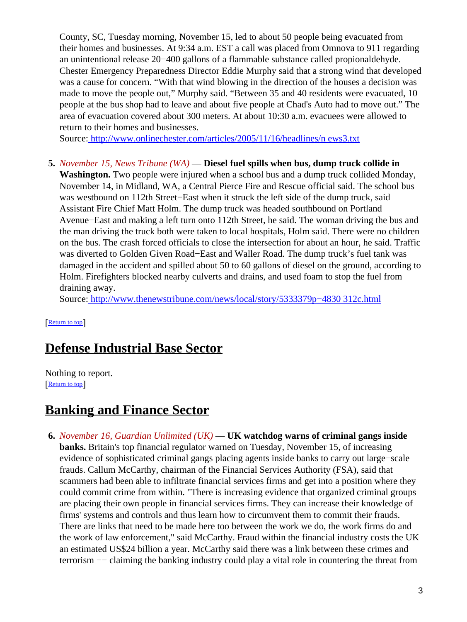County, SC, Tuesday morning, November 15, led to about 50 people being evacuated from their homes and businesses. At 9:34 a.m. EST a call was placed from Omnova to 911 regarding an unintentional release 20−400 gallons of a flammable substance called propionaldehyde. Chester Emergency Preparedness Director Eddie Murphy said that a strong wind that developed was a cause for concern. "With that wind blowing in the direction of the houses a decision was made to move the people out," Murphy said. "Between 35 and 40 residents were evacuated, 10 people at the bus shop had to leave and about five people at Chad's Auto had to move out." The area of evacuation covered about 300 meters. At about 10:30 a.m. evacuees were allowed to return to their homes and businesses.

Source[: http://www.onlinechester.com/articles/2005/11/16/headlines/n ews3.txt](http://www.onlinechester.com/articles/2005/11/16/headlines/news3.txt)

**5.** *November 15, News Tribune (WA)* — **Diesel fuel spills when bus, dump truck collide in Washington.** Two people were injured when a school bus and a dump truck collided Monday, November 14, in Midland, WA, a Central Pierce Fire and Rescue official said. The school bus was westbound on 112th Street−East when it struck the left side of the dump truck, said Assistant Fire Chief Matt Holm. The dump truck was headed southbound on Portland Avenue−East and making a left turn onto 112th Street, he said. The woman driving the bus and the man driving the truck both were taken to local hospitals, Holm said. There were no children on the bus. The crash forced officials to close the intersection for about an hour, he said. Traffic was diverted to Golden Given Road−East and Waller Road. The dump truck's fuel tank was damaged in the accident and spilled about 50 to 60 gallons of diesel on the ground, according to Holm. Firefighters blocked nearby culverts and drains, and used foam to stop the fuel from draining away.

Source[: http://www.thenewstribune.com/news/local/story/5333379p−4830 312c.html](http://www.thenewstribune.com/news/local/story/5333379p-4830312c.html)

[[Return to top](#page-0-1)]

### <span id="page-2-0"></span>**Defense Industrial Base Sector**

Nothing to report. [[Return to top](#page-0-1)]

### <span id="page-2-1"></span>**Banking and Finance Sector**

**6.** *November 16, Guardian Unlimited (UK)* — **UK watchdog warns of criminal gangs inside banks.** Britain's top financial regulator warned on Tuesday, November 15, of increasing evidence of sophisticated criminal gangs placing agents inside banks to carry out large−scale frauds. Callum McCarthy, chairman of the Financial Services Authority (FSA), said that scammers had been able to infiltrate financial services firms and get into a position where they could commit crime from within. "There is increasing evidence that organized criminal groups are placing their own people in financial services firms. They can increase their knowledge of firms' systems and controls and thus learn how to circumvent them to commit their frauds. There are links that need to be made here too between the work we do, the work firms do and the work of law enforcement," said McCarthy. Fraud within the financial industry costs the UK an estimated US\$24 billion a year. McCarthy said there was a link between these crimes and terrorism −− claiming the banking industry could play a vital role in countering the threat from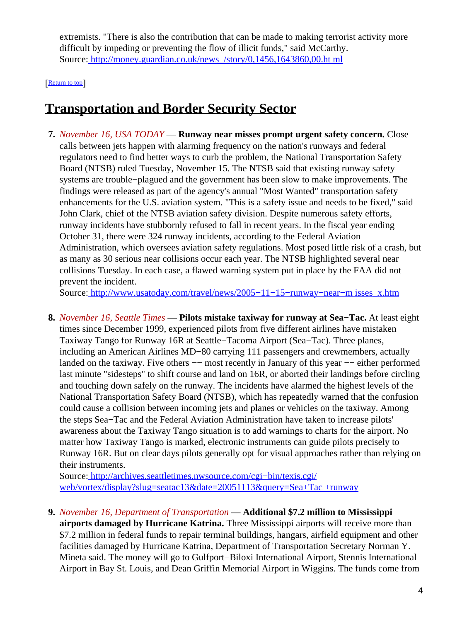extremists. "There is also the contribution that can be made to making terrorist activity more difficult by impeding or preventing the flow of illicit funds," said McCarthy. Source[: http://money.guardian.co.uk/news\\_/story/0,1456,1643860,00.ht ml](http://money.guardian.co.uk/news_/story/0,1456,1643860,00.html)

[[Return to top](#page-0-1)]

### <span id="page-3-1"></span>**Transportation and Border Security Sector**

<span id="page-3-0"></span>**7.** *November 16, USA TODAY* — **Runway near misses prompt urgent safety concern.** Close calls between jets happen with alarming frequency on the nation's runways and federal regulators need to find better ways to curb the problem, the National Transportation Safety Board (NTSB) ruled Tuesday, November 15. The NTSB said that existing runway safety systems are trouble−plagued and the government has been slow to make improvements. The findings were released as part of the agency's annual "Most Wanted" transportation safety enhancements for the U.S. aviation system. "This is a safety issue and needs to be fixed," said John Clark, chief of the NTSB aviation safety division. Despite numerous safety efforts, runway incidents have stubbornly refused to fall in recent years. In the fiscal year ending October 31, there were 324 runway incidents, according to the Federal Aviation Administration, which oversees aviation safety regulations. Most posed little risk of a crash, but as many as 30 serious near collisions occur each year. The NTSB highlighted several near collisions Tuesday. In each case, a flawed warning system put in place by the FAA did not prevent the incident.

Source[: http://www.usatoday.com/travel/news/2005−11−15−runway−near−m isses\\_x.htm](http://www.usatoday.com/travel/news/2005-11-15-runway-near-misses_x.htm)

**8.** *November 16, Seattle Times* — **Pilots mistake taxiway for runway at Sea−Tac.** At least eight times since December 1999, experienced pilots from five different airlines have mistaken Taxiway Tango for Runway 16R at Seattle−Tacoma Airport (Sea−Tac). Three planes, including an American Airlines MD−80 carrying 111 passengers and crewmembers, actually landed on the taxiway. Five others  $-$  most recently in January of this year  $-$  either performed last minute "sidesteps" to shift course and land on 16R, or aborted their landings before circling and touching down safely on the runway. The incidents have alarmed the highest levels of the National Transportation Safety Board (NTSB), which has repeatedly warned that the confusion could cause a collision between incoming jets and planes or vehicles on the taxiway. Among the steps Sea−Tac and the Federal Aviation Administration have taken to increase pilots' awareness about the Taxiway Tango situation is to add warnings to charts for the airport. No matter how Taxiway Tango is marked, electronic instruments can guide pilots precisely to Runway 16R. But on clear days pilots generally opt for visual approaches rather than relying on their instruments.

Source[: http://archives.seattletimes.nwsource.com/cgi−bin/texis.cgi/](http://archives.seattletimes.nwsource.com/cgi-bin/texis.cgi/web/vortex/display?slug=seatac13&date=20051113&query=Sea+Tac+runway) [web/vortex/display?slug=seatac13&date=20051113&query=Sea+Tac +runway](http://archives.seattletimes.nwsource.com/cgi-bin/texis.cgi/web/vortex/display?slug=seatac13&date=20051113&query=Sea+Tac+runway)

**9.** *November 16, Department of Transportation* — **Additional \$7.2 million to Mississippi airports damaged by Hurricane Katrina.** Three Mississippi airports will receive more than \$7.2 million in federal funds to repair terminal buildings, hangars, airfield equipment and other facilities damaged by Hurricane Katrina, Department of Transportation Secretary Norman Y. Mineta said. The money will go to Gulfport−Biloxi International Airport, Stennis International Airport in Bay St. Louis, and Dean Griffin Memorial Airport in Wiggins. The funds come from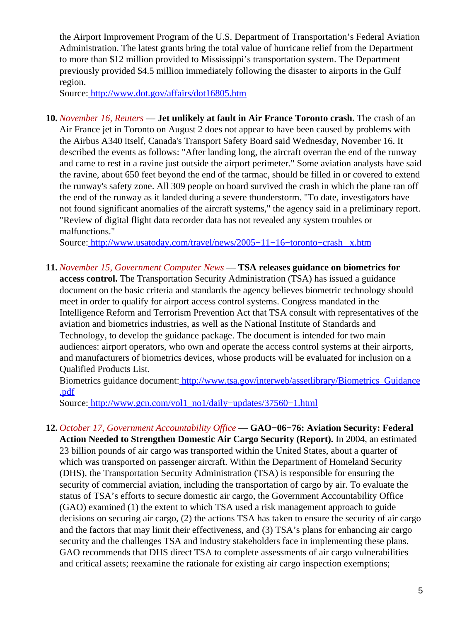the Airport Improvement Program of the U.S. Department of Transportation's Federal Aviation Administration. The latest grants bring the total value of hurricane relief from the Department to more than \$12 million provided to Mississippi's transportation system. The Department previously provided \$4.5 million immediately following the disaster to airports in the Gulf region.

Source[: http://www.dot.gov/affairs/dot16805.htm](http://www.dot.gov/affairs/dot16805.htm)

**10.** *November 16, Reuters* — **Jet unlikely at fault in Air France Toronto crash.** The crash of an Air France jet in Toronto on August 2 does not appear to have been caused by problems with the Airbus A340 itself, Canada's Transport Safety Board said Wednesday, November 16. It described the events as follows: "After landing long, the aircraft overran the end of the runway and came to rest in a ravine just outside the airport perimeter." Some aviation analysts have said the ravine, about 650 feet beyond the end of the tarmac, should be filled in or covered to extend the runway's safety zone. All 309 people on board survived the crash in which the plane ran off the end of the runway as it landed during a severe thunderstorm. "To date, investigators have not found significant anomalies of the aircraft systems," the agency said in a preliminary report. "Review of digital flight data recorder data has not revealed any system troubles or malfunctions."

Source[: http://www.usatoday.com/travel/news/2005−11−16−toronto−crash \\_x.htm](http://www.usatoday.com/travel/news/2005-11-16-toronto-crash_x.htm)

**11.** *November 15, Government Computer News* — **TSA releases guidance on biometrics for**

**access control.** The Transportation Security Administration (TSA) has issued a guidance document on the basic criteria and standards the agency believes biometric technology should meet in order to qualify for airport access control systems. Congress mandated in the Intelligence Reform and Terrorism Prevention Act that TSA consult with representatives of the aviation and biometrics industries, as well as the National Institute of Standards and Technology, to develop the guidance package. The document is intended for two main audiences: airport operators, who own and operate the access control systems at their airports, and manufacturers of biometrics devices, whose products will be evaluated for inclusion on a Qualified Products List.

Biometrics guidance document: http://www.tsa.gov/interweb/assetlibrary/Biometrics Guidance [.pdf](http://www.tsa.gov/interweb/assetlibrary/Biometrics_Guidance.pdf)

Source[: http://www.gcn.com/vol1\\_no1/daily−updates/37560−1.html](http://www.gcn.com/vol1_no1/daily-updates/37560-1.html)

<span id="page-4-0"></span>**12.** *October 17, Government Accountability Office* — **GAO−06−76: Aviation Security: Federal Action Needed to Strengthen Domestic Air Cargo Security (Report).** In 2004, an estimated 23 billion pounds of air cargo was transported within the United States, about a quarter of which was transported on passenger aircraft. Within the Department of Homeland Security (DHS), the Transportation Security Administration (TSA) is responsible for ensuring the security of commercial aviation, including the transportation of cargo by air. To evaluate the status of TSA's efforts to secure domestic air cargo, the Government Accountability Office (GAO) examined (1) the extent to which TSA used a risk management approach to guide decisions on securing air cargo, (2) the actions TSA has taken to ensure the security of air cargo and the factors that may limit their effectiveness, and (3) TSA's plans for enhancing air cargo security and the challenges TSA and industry stakeholders face in implementing these plans. GAO recommends that DHS direct TSA to complete assessments of air cargo vulnerabilities and critical assets; reexamine the rationale for existing air cargo inspection exemptions;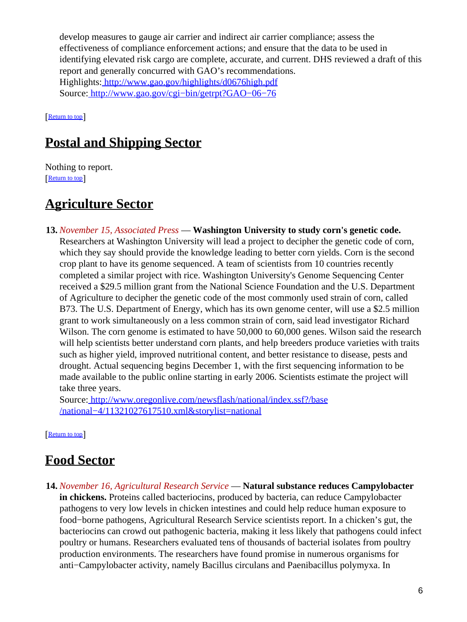develop measures to gauge air carrier and indirect air carrier compliance; assess the effectiveness of compliance enforcement actions; and ensure that the data to be used in identifying elevated risk cargo are complete, accurate, and current. DHS reviewed a draft of this report and generally concurred with GAO's recommendations. Highlights:<http://www.gao.gov/highlights/d0676high.pdf> Source[: http://www.gao.gov/cgi−bin/getrpt?GAO−06−76](http://www.gao.gov/cgi-bin/getrpt?GAO-06-76)

[[Return to top](#page-0-1)]

## <span id="page-5-0"></span>**Postal and Shipping Sector**

Nothing to report. [[Return to top](#page-0-1)]

## <span id="page-5-1"></span>**Agriculture Sector**

**13.** *November 15, Associated Press* — **Washington University to study corn's genetic code.** Researchers at Washington University will lead a project to decipher the genetic code of corn, which they say should provide the knowledge leading to better corn yields. Corn is the second crop plant to have its genome sequenced. A team of scientists from 10 countries recently completed a similar project with rice. Washington University's Genome Sequencing Center received a \$29.5 million grant from the National Science Foundation and the U.S. Department of Agriculture to decipher the genetic code of the most commonly used strain of corn, called B73. The U.S. Department of Energy, which has its own genome center, will use a \$2.5 million grant to work simultaneously on a less common strain of corn, said lead investigator Richard Wilson. The corn genome is estimated to have 50,000 to 60,000 genes. Wilson said the research will help scientists better understand corn plants, and help breeders produce varieties with traits such as higher yield, improved nutritional content, and better resistance to disease, pests and drought. Actual sequencing begins December 1, with the first sequencing information to be made available to the public online starting in early 2006. Scientists estimate the project will take three years.

Source[: http://www.oregonlive.com/newsflash/national/index.ssf?/base](http://www.oregonlive.com/newsflash/national/index.ssf?/base/national-4/11321027617510.xml&storylist=national) [/national−4/11321027617510.xml&storylist=national](http://www.oregonlive.com/newsflash/national/index.ssf?/base/national-4/11321027617510.xml&storylist=national)

[[Return to top](#page-0-1)]

## <span id="page-5-2"></span>**Food Sector**

**14.** *November 16, Agricultural Research Service* — **Natural substance reduces Campylobacter in chickens.** Proteins called bacteriocins, produced by bacteria, can reduce Campylobacter pathogens to very low levels in chicken intestines and could help reduce human exposure to food−borne pathogens, Agricultural Research Service scientists report. In a chicken's gut, the bacteriocins can crowd out pathogenic bacteria, making it less likely that pathogens could infect poultry or humans. Researchers evaluated tens of thousands of bacterial isolates from poultry production environments. The researchers have found promise in numerous organisms for anti−Campylobacter activity, namely Bacillus circulans and Paenibacillus polymyxa. In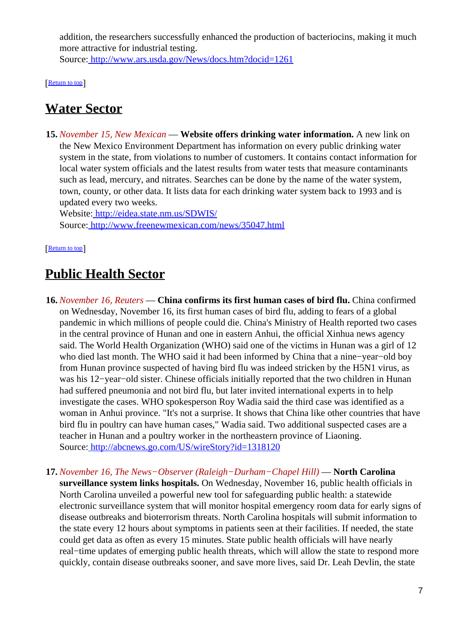addition, the researchers successfully enhanced the production of bacteriocins, making it much more attractive for industrial testing. Source[: http://www.ars.usda.gov/News/docs.htm?docid=1261](http://www.ars.usda.gov/News/docs.htm?docid=1261)

[[Return to top](#page-0-1)]

### <span id="page-6-0"></span>**Water Sector**

**15.** *November 15, New Mexican* — **Website offers drinking water information.** A new link on the New Mexico Environment Department has information on every public drinking water system in the state, from violations to number of customers. It contains contact information for local water system officials and the latest results from water tests that measure contaminants such as lead, mercury, and nitrates. Searches can be done by the name of the water system, town, county, or other data. It lists data for each drinking water system back to 1993 and is updated every two weeks.

Website[: http://eidea.state.nm.us/SDWIS/](http://eidea.state.nm.us/SDWIS/) Source[: http://www.freenewmexican.com/news/35047.html](http://www.freenewmexican.com/news/35047.html)

[[Return to top](#page-0-1)]

### <span id="page-6-1"></span>**Public Health Sector**

- **16.** *November 16, Reuters* — **China confirms its first human cases of bird flu.** China confirmed on Wednesday, November 16, its first human cases of bird flu, adding to fears of a global pandemic in which millions of people could die. China's Ministry of Health reported two cases in the central province of Hunan and one in eastern Anhui, the official Xinhua news agency said. The World Health Organization (WHO) said one of the victims in Hunan was a girl of 12 who died last month. The WHO said it had been informed by China that a nine−year−old boy from Hunan province suspected of having bird flu was indeed stricken by the H5N1 virus, as was his 12−year−old sister. Chinese officials initially reported that the two children in Hunan had suffered pneumonia and not bird flu, but later invited international experts in to help investigate the cases. WHO spokesperson Roy Wadia said the third case was identified as a woman in Anhui province. "It's not a surprise. It shows that China like other countries that have bird flu in poultry can have human cases," Wadia said. Two additional suspected cases are a teacher in Hunan and a poultry worker in the northeastern province of Liaoning. Source[: http://abcnews.go.com/US/wireStory?id=1318120](http://abcnews.go.com/US/wireStory?id=1318120)
- **17.** *November 16, The News−Observer (Raleigh−Durham−Chapel Hill)* — **North Carolina surveillance system links hospitals.** On Wednesday, November 16, public health officials in North Carolina unveiled a powerful new tool for safeguarding public health: a statewide electronic surveillance system that will monitor hospital emergency room data for early signs of disease outbreaks and bioterrorism threats. North Carolina hospitals will submit information to the state every 12 hours about symptoms in patients seen at their facilities. If needed, the state could get data as often as every 15 minutes. State public health officials will have nearly real−time updates of emerging public health threats, which will allow the state to respond more quickly, contain disease outbreaks sooner, and save more lives, said Dr. Leah Devlin, the state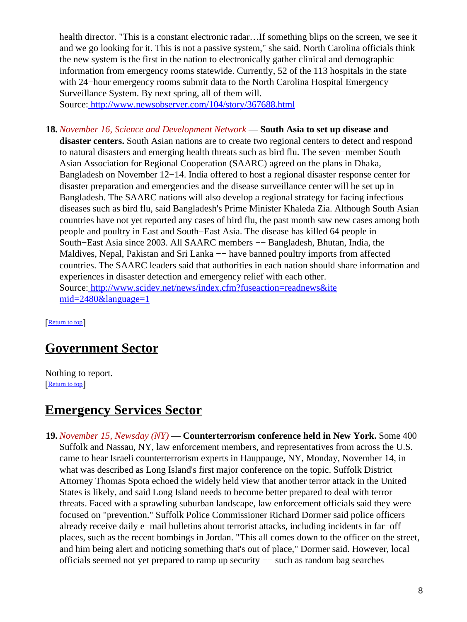health director. "This is a constant electronic radar...If something blips on the screen, we see it and we go looking for it. This is not a passive system," she said. North Carolina officials think the new system is the first in the nation to electronically gather clinical and demographic information from emergency rooms statewide. Currently, 52 of the 113 hospitals in the state with 24–hour emergency rooms submit data to the North Carolina Hospital Emergency Surveillance System. By next spring, all of them will.

Source[: http://www.newsobserver.com/104/story/367688.html](http://www.newsobserver.com/104/story/367688.html)

**18.** *November 16, Science and Development Network* — **South Asia to set up disease and disaster centers.** South Asian nations are to create two regional centers to detect and respond to natural disasters and emerging health threats such as bird flu. The seven−member South Asian Association for Regional Cooperation (SAARC) agreed on the plans in Dhaka, Bangladesh on November 12−14. India offered to host a regional disaster response center for disaster preparation and emergencies and the disease surveillance center will be set up in Bangladesh. The SAARC nations will also develop a regional strategy for facing infectious diseases such as bird flu, said Bangladesh's Prime Minister Khaleda Zia. Although South Asian countries have not yet reported any cases of bird flu, the past month saw new cases among both people and poultry in East and South−East Asia. The disease has killed 64 people in South−East Asia since 2003. All SAARC members −− Bangladesh, Bhutan, India, the Maldives, Nepal, Pakistan and Sri Lanka — have banned poultry imports from affected countries. The SAARC leaders said that authorities in each nation should share information and experiences in disaster detection and emergency relief with each other. Source[: http://www.scidev.net/news/index.cfm?fuseaction=readnews&ite](http://www.scidev.net/news/index.cfm?fuseaction=readnews&itemid=2480&language=1) [mid=2480&language=1](http://www.scidev.net/news/index.cfm?fuseaction=readnews&itemid=2480&language=1)

[[Return to top](#page-0-1)]

## <span id="page-7-1"></span>**Government Sector**

Nothing to report. [[Return to top](#page-0-1)]

### <span id="page-7-2"></span>**Emergency Services Sector**

<span id="page-7-0"></span>**19.** *November 15, Newsday (NY)* — **Counterterrorism conference held in New York.** Some 400 Suffolk and Nassau, NY, law enforcement members, and representatives from across the U.S. came to hear Israeli counterterrorism experts in Hauppauge, NY, Monday, November 14, in what was described as Long Island's first major conference on the topic. Suffolk District Attorney Thomas Spota echoed the widely held view that another terror attack in the United States is likely, and said Long Island needs to become better prepared to deal with terror threats. Faced with a sprawling suburban landscape, law enforcement officials said they were focused on "prevention." Suffolk Police Commissioner Richard Dormer said police officers already receive daily e−mail bulletins about terrorist attacks, including incidents in far−off places, such as the recent bombings in Jordan. "This all comes down to the officer on the street, and him being alert and noticing something that's out of place," Dormer said. However, local officials seemed not yet prepared to ramp up security −− such as random bag searches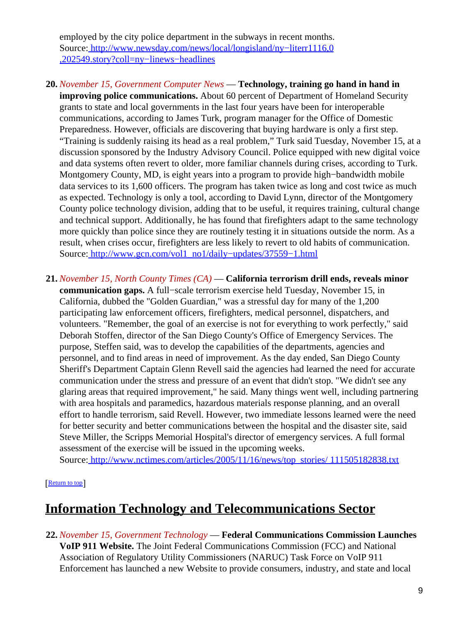employed by the city police department in the subways in recent months. Source[: http://www.newsday.com/news/local/longisland/ny−literr1116,0](http://www.newsday.com/news/local/longisland/ny-literr1116,0,202549.story?coll=ny-linews-headlines) [,202549.story?coll=ny−linews−headlines](http://www.newsday.com/news/local/longisland/ny-literr1116,0,202549.story?coll=ny-linews-headlines)

- **20.** *November 15, Government Computer News* — **Technology, training go hand in hand in improving police communications.** About 60 percent of Department of Homeland Security grants to state and local governments in the last four years have been for interoperable communications, according to James Turk, program manager for the Office of Domestic Preparedness. However, officials are discovering that buying hardware is only a first step. "Training is suddenly raising its head as a real problem," Turk said Tuesday, November 15, at a discussion sponsored by the Industry Advisory Council. Police equipped with new digital voice and data systems often revert to older, more familiar channels during crises, according to Turk. Montgomery County, MD, is eight years into a program to provide high−bandwidth mobile data services to its 1,600 officers. The program has taken twice as long and cost twice as much as expected. Technology is only a tool, according to David Lynn, director of the Montgomery County police technology division, adding that to be useful, it requires training, cultural change and technical support. Additionally, he has found that firefighters adapt to the same technology more quickly than police since they are routinely testing it in situations outside the norm. As a result, when crises occur, firefighters are less likely to revert to old habits of communication. Source[: http://www.gcn.com/vol1\\_no1/daily−updates/37559−1.html](http://www.gcn.com/vol1_no1/daily-updates/37559-1.html)
- **21.** *November 15, North County Times (CA)* — **California terrorism drill ends, reveals minor communication gaps.** A full−scale terrorism exercise held Tuesday, November 15, in California, dubbed the "Golden Guardian," was a stressful day for many of the 1,200 participating law enforcement officers, firefighters, medical personnel, dispatchers, and volunteers. "Remember, the goal of an exercise is not for everything to work perfectly," said Deborah Stoffen, director of the San Diego County's Office of Emergency Services. The purpose, Steffen said, was to develop the capabilities of the departments, agencies and personnel, and to find areas in need of improvement. As the day ended, San Diego County Sheriff's Department Captain Glenn Revell said the agencies had learned the need for accurate communication under the stress and pressure of an event that didn't stop. "We didn't see any glaring areas that required improvement," he said. Many things went well, including partnering with area hospitals and paramedics, hazardous materials response planning, and an overall effort to handle terrorism, said Revell. However, two immediate lessons learned were the need for better security and better communications between the hospital and the disaster site, said Steve Miller, the Scripps Memorial Hospital's director of emergency services. A full formal assessment of the exercise will be issued in the upcoming weeks.

Source[: http://www.nctimes.com/articles/2005/11/16/news/top\\_stories/ 111505182838.txt](http://www.nctimes.com/articles/2005/11/16/news/top_stories/111505182838.txt)

[[Return to top](#page-0-1)]

## <span id="page-8-0"></span>**Information Technology and Telecommunications Sector**

**22.** *November 15, Government Technology* — **Federal Communications Commission Launches VoIP 911 Website.** The Joint Federal Communications Commission (FCC) and National Association of Regulatory Utility Commissioners (NARUC) Task Force on VoIP 911 Enforcement has launched a new Website to provide consumers, industry, and state and local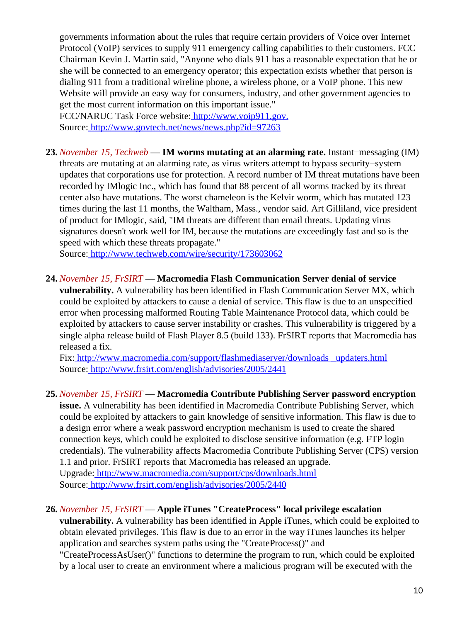governments information about the rules that require certain providers of Voice over Internet Protocol (VoIP) services to supply 911 emergency calling capabilities to their customers. FCC Chairman Kevin J. Martin said, "Anyone who dials 911 has a reasonable expectation that he or she will be connected to an emergency operator; this expectation exists whether that person is dialing 911 from a traditional wireline phone, a wireless phone, or a VoIP phone. This new Website will provide an easy way for consumers, industry, and other government agencies to get the most current information on this important issue."

FCC/NARUC Task Force website:<http://www.voip911.gov.> Source[: http://www.govtech.net/news/news.php?id=97263](http://www.govtech.net/news/news.php?id=97263)

**23.** *November 15, Techweb* — **IM worms mutating at an alarming rate.** Instant−messaging (IM) threats are mutating at an alarming rate, as virus writers attempt to bypass security−system updates that corporations use for protection. A record number of IM threat mutations have been recorded by IMlogic Inc., which has found that 88 percent of all worms tracked by its threat center also have mutations. The worst chameleon is the Kelvir worm, which has mutated 123 times during the last 11 months, the Waltham, Mass., vendor said. Art Gilliland, vice president of product for IMlogic, said, "IM threats are different than email threats. Updating virus signatures doesn't work well for IM, because the mutations are exceedingly fast and so is the speed with which these threats propagate."

Source[: http://www.techweb.com/wire/security/173603062](http://www.techweb.com/wire/security/173603062)

**24.** *November 15, FrSIRT* — **Macromedia Flash Communication Server denial of service**

**vulnerability.** A vulnerability has been identified in Flash Communication Server MX, which could be exploited by attackers to cause a denial of service. This flaw is due to an unspecified error when processing malformed Routing Table Maintenance Protocol data, which could be exploited by attackers to cause server instability or crashes. This vulnerability is triggered by a single alpha release build of Flash Player 8.5 (build 133). FrSIRT reports that Macromedia has released a fix.

Fix[: http://www.macromedia.com/support/flashmediaserver/downloads \\_updaters.html](http://www.macromedia.com/support/flashmediaserver/downloads_updaters.html) Source[: http://www.frsirt.com/english/advisories/2005/2441](http://www.frsirt.com/english/advisories/2005/2441)

**25.** *November 15, FrSIRT* — **Macromedia Contribute Publishing Server password encryption**

**issue.** A vulnerability has been identified in Macromedia Contribute Publishing Server, which could be exploited by attackers to gain knowledge of sensitive information. This flaw is due to a design error where a weak password encryption mechanism is used to create the shared connection keys, which could be exploited to disclose sensitive information (e.g. FTP login credentials). The vulnerability affects Macromedia Contribute Publishing Server (CPS) version 1.1 and prior. FrSIRT reports that Macromedia has released an upgrade. Upgrade[: http://www.macromedia.com/support/cps/downloads.html](http://www.macromedia.com/support/cps/downloads.html) Source[: http://www.frsirt.com/english/advisories/2005/2440](http://www.frsirt.com/english/advisories/2005/2440)

**26.** *November 15, FrSIRT* — **Apple iTunes "CreateProcess" local privilege escalation**

**vulnerability.** A vulnerability has been identified in Apple iTunes, which could be exploited to obtain elevated privileges. This flaw is due to an error in the way iTunes launches its helper application and searches system paths using the "CreateProcess()" and

"CreateProcessAsUser()" functions to determine the program to run, which could be exploited by a local user to create an environment where a malicious program will be executed with the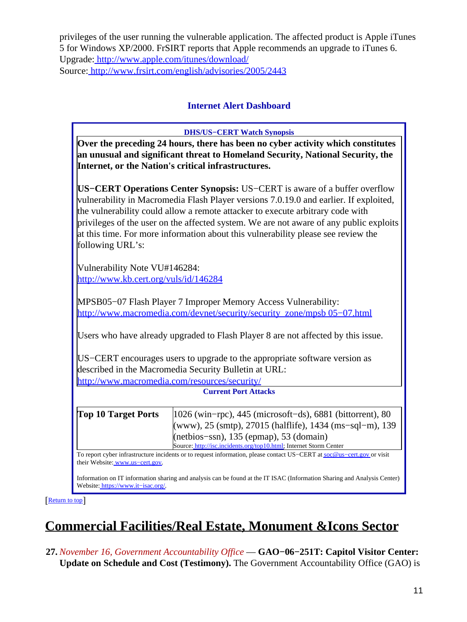privileges of the user running the vulnerable application. The affected product is Apple iTunes 5 for Windows XP/2000. FrSIRT reports that Apple recommends an upgrade to iTunes 6. Upgrade[: http://www.apple.com/itunes/download/](http://www.apple.com/itunes/download/) Source[: http://www.frsirt.com/english/advisories/2005/2443](http://www.frsirt.com/english/advisories/2005/2443)

### **Internet Alert Dashboard**

<span id="page-10-0"></span>

| <b>DHS/US-CERT Watch Synopsis</b>                                                                                                                                                                                                                                                                                                                                                                                                                       |                                                                                                                                                                                                                                           |  |
|---------------------------------------------------------------------------------------------------------------------------------------------------------------------------------------------------------------------------------------------------------------------------------------------------------------------------------------------------------------------------------------------------------------------------------------------------------|-------------------------------------------------------------------------------------------------------------------------------------------------------------------------------------------------------------------------------------------|--|
| Over the preceding 24 hours, there has been no cyber activity which constitutes<br>an unusual and significant threat to Homeland Security, National Security, the<br>Internet, or the Nation's critical infrastructures.                                                                                                                                                                                                                                |                                                                                                                                                                                                                                           |  |
| US–CERT Operations Center Synopsis: US–CERT is aware of a buffer overflow<br>vulnerability in Macromedia Flash Player versions 7.0.19.0 and earlier. If exploited,<br>the vulnerability could allow a remote attacker to execute arbitrary code with<br>privileges of the user on the affected system. We are not aware of any public exploits<br>at this time. For more information about this vulnerability please see review the<br>following URL's: |                                                                                                                                                                                                                                           |  |
| Vulnerability Note VU#146284:<br>http://www.kb.cert.org/vuls/id/146284                                                                                                                                                                                                                                                                                                                                                                                  |                                                                                                                                                                                                                                           |  |
| MPSB05-07 Flash Player 7 Improper Memory Access Vulnerability:<br>http://www.macromedia.com/devnet/security/security_zone/mpsb 05-07.html                                                                                                                                                                                                                                                                                                               |                                                                                                                                                                                                                                           |  |
| Users who have already upgraded to Flash Player 8 are not affected by this issue.                                                                                                                                                                                                                                                                                                                                                                       |                                                                                                                                                                                                                                           |  |
| US–CERT encourages users to upgrade to the appropriate software version as<br>described in the Macromedia Security Bulletin at URL:                                                                                                                                                                                                                                                                                                                     |                                                                                                                                                                                                                                           |  |
| http://www.macromedia.com/resources/security/                                                                                                                                                                                                                                                                                                                                                                                                           |                                                                                                                                                                                                                                           |  |
| <b>Current Port Attacks</b>                                                                                                                                                                                                                                                                                                                                                                                                                             |                                                                                                                                                                                                                                           |  |
| <b>Top 10 Target Ports</b>                                                                                                                                                                                                                                                                                                                                                                                                                              | 1026 (win-rpc), 445 (microsoft-ds), 6881 (bittorrent), 80<br>(www), 25 (smtp), 27015 (halflife), 1434 (ms-sql-m), 139<br>$(net bios-ssn), 135 (epmap), 53 (domain)$<br>Source: http://isc.incidents.org/top10.html; Internet Storm Center |  |
| To report cyber infrastructure incidents or to request information, please contact US-CERT at soc@us-cert.gov or visit<br>their Website: www.us-cert.gov.<br>Information on IT information sharing and analysis can be found at the IT ISAC (Information Sharing and Analysis Center)<br>Website: https://www.it-isac.org/.                                                                                                                             |                                                                                                                                                                                                                                           |  |

[[Return to top](#page-0-1)]

# <span id="page-10-1"></span>**Commercial Facilities/Real Estate, Monument &Icons Sector**

**27.** *November 16, Government Accountability Office* — **GAO−06−251T: Capitol Visitor Center: Update on Schedule and Cost (Testimony).** The Government Accountability Office (GAO) is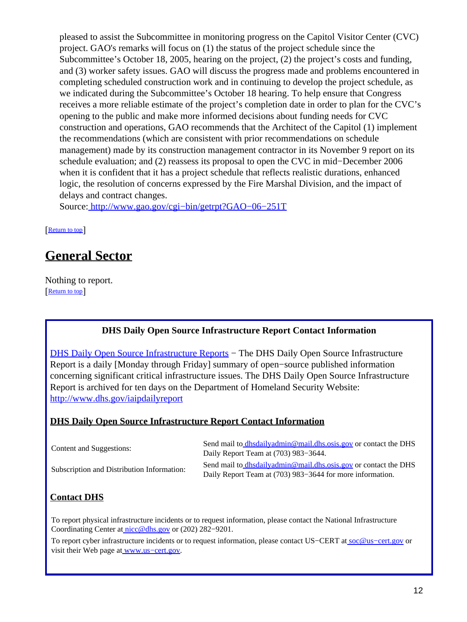pleased to assist the Subcommittee in monitoring progress on the Capitol Visitor Center (CVC) project. GAO's remarks will focus on (1) the status of the project schedule since the Subcommittee's October 18, 2005, hearing on the project, (2) the project's costs and funding, and (3) worker safety issues. GAO will discuss the progress made and problems encountered in completing scheduled construction work and in continuing to develop the project schedule, as we indicated during the Subcommittee's October 18 hearing. To help ensure that Congress receives a more reliable estimate of the project's completion date in order to plan for the CVC's opening to the public and make more informed decisions about funding needs for CVC construction and operations, GAO recommends that the Architect of the Capitol (1) implement the recommendations (which are consistent with prior recommendations on schedule management) made by its construction management contractor in its November 9 report on its schedule evaluation; and (2) reassess its proposal to open the CVC in mid−December 2006 when it is confident that it has a project schedule that reflects realistic durations, enhanced logic, the resolution of concerns expressed by the Fire Marshal Division, and the impact of delays and contract changes.

Source[: http://www.gao.gov/cgi−bin/getrpt?GAO−06−251T](http://www.gao.gov/cgi-bin/getrpt?GAO-06-251T)

[[Return to top](#page-0-1)]

## <span id="page-11-0"></span>**General Sector**

Nothing to report. [[Return to top](#page-0-1)]

#### **DHS Daily Open Source Infrastructure Report Contact Information**

<span id="page-11-1"></span>[DHS Daily Open Source Infrastructure Reports](http://www.dhs.gov/iaipdailyreport) – The DHS Daily Open Source Infrastructure Report is a daily [Monday through Friday] summary of open−source published information concerning significant critical infrastructure issues. The DHS Daily Open Source Infrastructure Report is archived for ten days on the Department of Homeland Security Website: <http://www.dhs.gov/iaipdailyreport>

#### **DHS Daily Open Source Infrastructure Report Contact Information**

| Content and Suggestions:                   | Send mail to dhsdailyadmin@mail.dhs.osis.gov or contact the DHS<br>Daily Report Team at (703) 983–3644.                      |
|--------------------------------------------|------------------------------------------------------------------------------------------------------------------------------|
| Subscription and Distribution Information: | Send mail to dhsdailyadmin@mail.dhs.osis.gov or contact the DHS<br>Daily Report Team at (703) 983–3644 for more information. |

#### **Contact DHS**

To report physical infrastructure incidents or to request information, please contact the National Infrastructure Coordinating Center at [nicc@dhs.gov](mailto:nicc@dhs.gov) or (202) 282−9201.

To report cyber infrastructure incidents or to request information, please contact US–CERT at soc@us–cert.gov or visit their Web page at www.us-cert.gov.